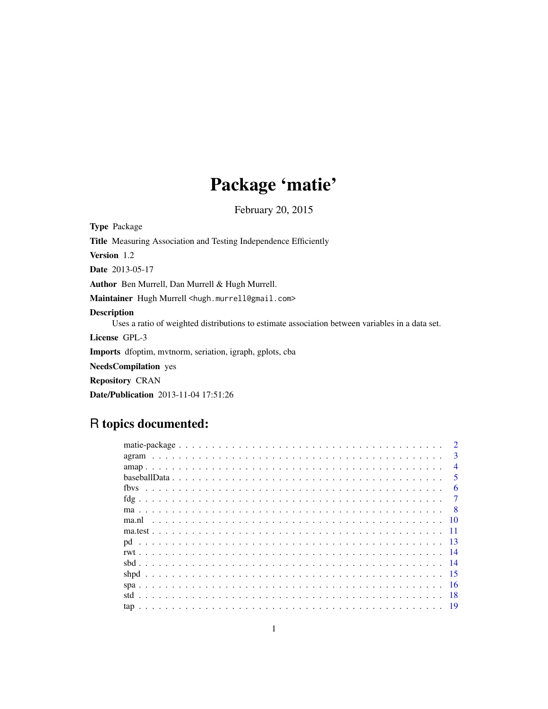# Package 'matie'

February 20, 2015

<span id="page-0-0"></span>Type Package Title Measuring Association and Testing Independence Efficiently Version 1.2 Date 2013-05-17 Author Ben Murrell, Dan Murrell & Hugh Murrell. Maintainer Hugh Murrell <hugh.murrell@gmail.com> Description Uses a ratio of weighted distributions to estimate association between variables in a data set. License GPL-3 Imports dfoptim, mvtnorm, seriation, igraph, gplots, cba NeedsCompilation yes Repository CRAN Date/Publication 2013-11-04 17:51:26

# R topics documented:

| $\mathcal{D}$           |
|-------------------------|
| $\mathbf{3}$            |
| $\overline{4}$          |
| $\overline{\mathbf{5}}$ |
| 6                       |
|                         |
| - 8                     |
|                         |
|                         |
|                         |
|                         |
|                         |
|                         |
|                         |
| -18                     |
|                         |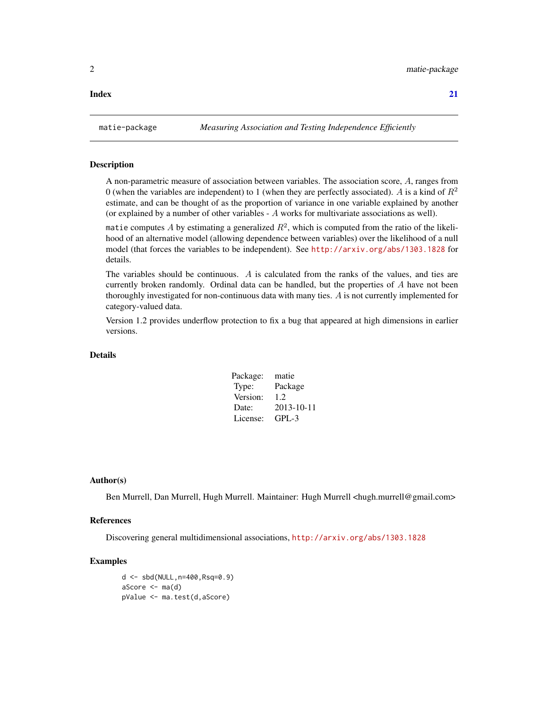#### <span id="page-1-0"></span>**Index** [21](#page-20-0)

matie-package *Measuring Association and Testing Independence Efficiently*

#### Description

A non-parametric measure of association between variables. The association score, A, ranges from 0 (when the variables are independent) to 1 (when they are perfectly associated). A is a kind of  $R^2$ estimate, and can be thought of as the proportion of variance in one variable explained by another (or explained by a number of other variables  $-A$  works for multivariate associations as well).

matie computes A by estimating a generalized  $R^2$ , which is computed from the ratio of the likelihood of an alternative model (allowing dependence between variables) over the likelihood of a null model (that forces the variables to be independent). See <http://arxiv.org/abs/1303.1828> for details.

The variables should be continuous. A is calculated from the ranks of the values, and ties are currently broken randomly. Ordinal data can be handled, but the properties of A have not been thoroughly investigated for non-continuous data with many ties. A is not currently implemented for category-valued data.

Version 1.2 provides underflow protection to fix a bug that appeared at high dimensions in earlier versions.

# Details

| Package: | matie      |
|----------|------------|
| Type:    | Package    |
| Version: | 1.2        |
| Date:    | 2013-10-11 |
| License: | GPL-3      |

#### Author(s)

Ben Murrell, Dan Murrell, Hugh Murrell. Maintainer: Hugh Murrell <abuph.murrell@gmail.com>

#### References

Discovering general multidimensional associations, <http://arxiv.org/abs/1303.1828>

#### Examples

d <- sbd(NULL,n=400,Rsq=0.9)  $aScore \leftarrow ma(d)$ pValue <- ma.test(d,aScore)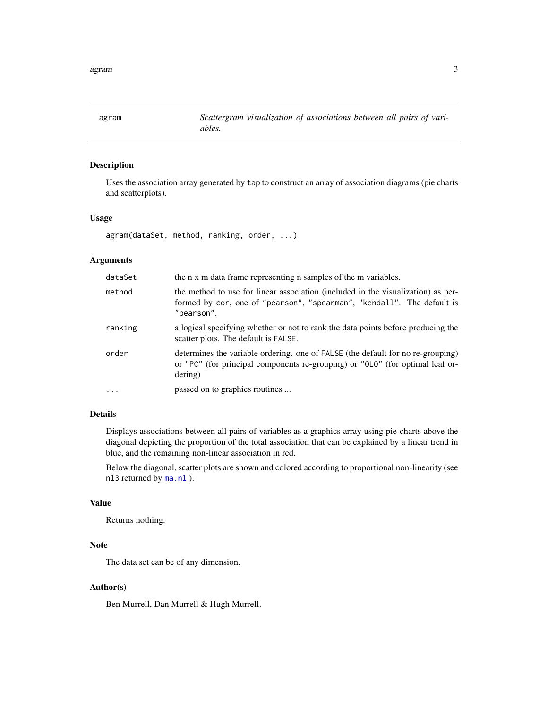<span id="page-2-1"></span><span id="page-2-0"></span>agram *Scattergram visualization of associations between all pairs of variables.*

#### Description

Uses the association array generated by tap to construct an array of association diagrams (pie charts and scatterplots).

# Usage

agram(dataSet, method, ranking, order, ...)

# Arguments

| dataSet    | the n x m data frame representing n samples of the m variables.                                                                                                             |
|------------|-----------------------------------------------------------------------------------------------------------------------------------------------------------------------------|
| method     | the method to use for linear association (included in the visualization) as per-<br>formed by cor, one of "pearson", "spearman", "kendall". The default is<br>"pearson".    |
| ranking    | a logical specifying whether or not to rank the data points before producing the<br>scatter plots. The default is FALSE.                                                    |
| order      | determines the variable ordering, one of FALSE (the default for no re-grouping)<br>or "PC" (for principal components re-grouping) or "OLO" (for optimal leaf or-<br>dering) |
| $\ddots$ . | passed on to graphics routines                                                                                                                                              |

# Details

Displays associations between all pairs of variables as a graphics array using pie-charts above the diagonal depicting the proportion of the total association that can be explained by a linear trend in blue, and the remaining non-linear association in red.

Below the diagonal, scatter plots are shown and colored according to proportional non-linearity (see nl3 returned by [ma.nl](#page-9-1) ).

#### Value

Returns nothing.

# Note

The data set can be of any dimension.

# Author(s)

Ben Murrell, Dan Murrell & Hugh Murrell.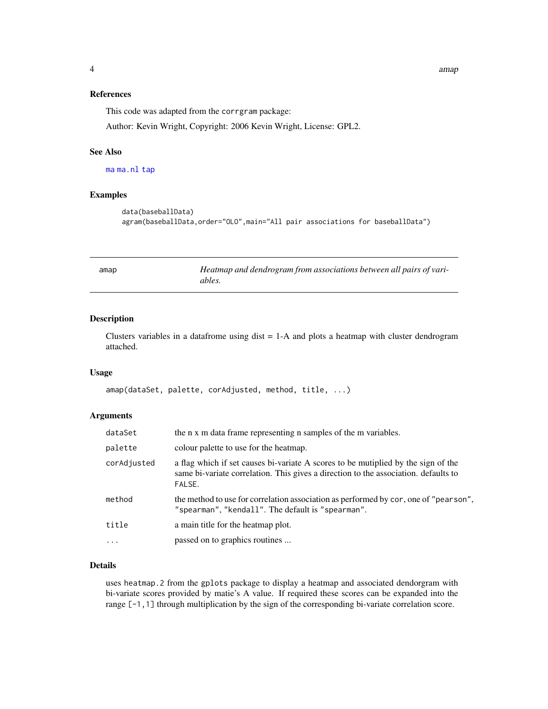# References

This code was adapted from the corrgram package:

Author: Kevin Wright, Copyright: 2006 Kevin Wright, License: GPL2.

#### See Also

[ma](#page-7-1) [ma.nl](#page-9-1) [tap](#page-18-1)

#### Examples

```
data(baseballData)
agram(baseballData,order="OLO",main="All pair associations for baseballData")
```

| amap | Heatmap and dendrogram from associations between all pairs of vari- |
|------|---------------------------------------------------------------------|
|      | ables.                                                              |

#### Description

Clusters variables in a datafrome using dist  $= 1-A$  and plots a heatmap with cluster dendrogram attached.

#### Usage

amap(dataSet, palette, corAdjusted, method, title, ...)

#### Arguments

| dataSet     | the n x m data frame representing n samples of the m variables.                                                                                                                    |
|-------------|------------------------------------------------------------------------------------------------------------------------------------------------------------------------------------|
| palette     | colour palette to use for the heatmap.                                                                                                                                             |
| corAdjusted | a flag which if set causes bi-variate A scores to be mutiplied by the sign of the<br>same bi-variate correlation. This gives a direction to the association. defaults to<br>FALSE. |
| method      | the method to use for correlation association as performed by cor, one of "pearson",<br>"spearman", "kendall". The default is "spearman".                                          |
| title       | a main title for the heatmap plot.                                                                                                                                                 |
| $\ddots$ .  | passed on to graphics routines                                                                                                                                                     |
|             |                                                                                                                                                                                    |

#### Details

uses heatmap.2 from the gplots package to display a heatmap and associated dendorgram with bi-variate scores provided by matie's A value. If required these scores can be expanded into the range [-1,1] through multiplication by the sign of the corresponding bi-variate correlation score.

<span id="page-3-0"></span>4 amap amap and the set of the set of the set of the set of the set of the set of the set of the set of the set of the set of the set of the set of the set of the set of the set of the set of the set of the set of the set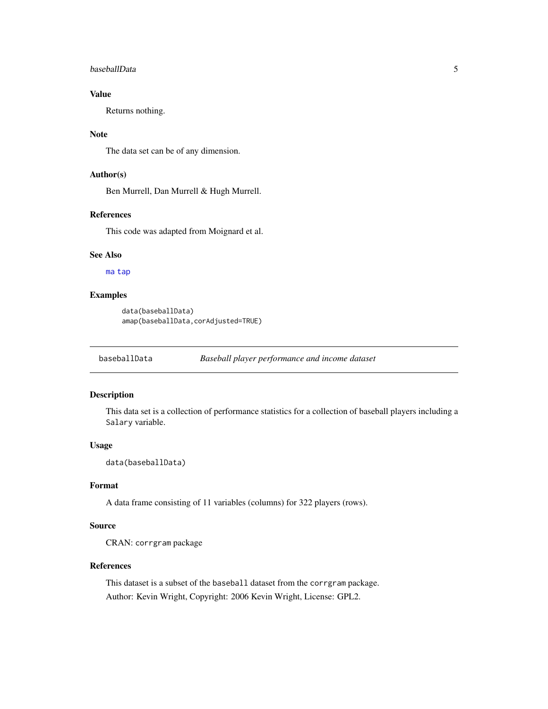#### <span id="page-4-0"></span>baseballData 5

# Value

Returns nothing.

#### Note

The data set can be of any dimension.

# Author(s)

Ben Murrell, Dan Murrell & Hugh Murrell.

#### References

This code was adapted from Moignard et al.

#### See Also

[ma](#page-7-1) [tap](#page-18-1)

# Examples

```
data(baseballData)
amap(baseballData,corAdjusted=TRUE)
```
baseballData *Baseball player performance and income dataset*

# Description

This data set is a collection of performance statistics for a collection of baseball players including a Salary variable.

#### Usage

data(baseballData)

#### Format

A data frame consisting of 11 variables (columns) for 322 players (rows).

# Source

CRAN: corrgram package

## References

This dataset is a subset of the baseball dataset from the corrgram package. Author: Kevin Wright, Copyright: 2006 Kevin Wright, License: GPL2.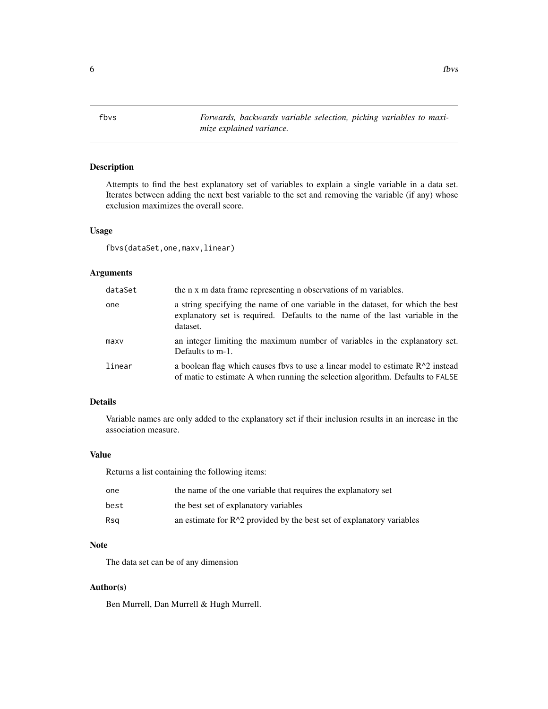<span id="page-5-0"></span>fbvs *Forwards, backwards variable selection, picking variables to maximize explained variance.*

# Description

Attempts to find the best explanatory set of variables to explain a single variable in a data set. Iterates between adding the next best variable to the set and removing the variable (if any) whose exclusion maximizes the overall score.

#### Usage

```
fbvs(dataSet,one,maxv,linear)
```
# Arguments

| dataSet | the n x m data frame representing n observations of m variables.                                                                                                             |
|---------|------------------------------------------------------------------------------------------------------------------------------------------------------------------------------|
| one     | a string specifying the name of one variable in the dataset, for which the best<br>explanatory set is required. Defaults to the name of the last variable in the<br>dataset. |
| maxv    | an integer limiting the maximum number of variables in the explanatory set.<br>Defaults to $m-1$ .                                                                           |
| linear  | a boolean flag which causes fbvs to use a linear model to estimate $R^2$ instead<br>of matie to estimate A when running the selection algorithm. Defaults to FALSE           |

#### Details

Variable names are only added to the explanatory set if their inclusion results in an increase in the association measure.

# Value

Returns a list containing the following items:

| one  | the name of the one variable that requires the explanatory set          |
|------|-------------------------------------------------------------------------|
| best | the best set of explanatory variables                                   |
| Rsa  | an estimate for $R^2$ provided by the best set of explanatory variables |

# Note

The data set can be of any dimension

# Author(s)

Ben Murrell, Dan Murrell & Hugh Murrell.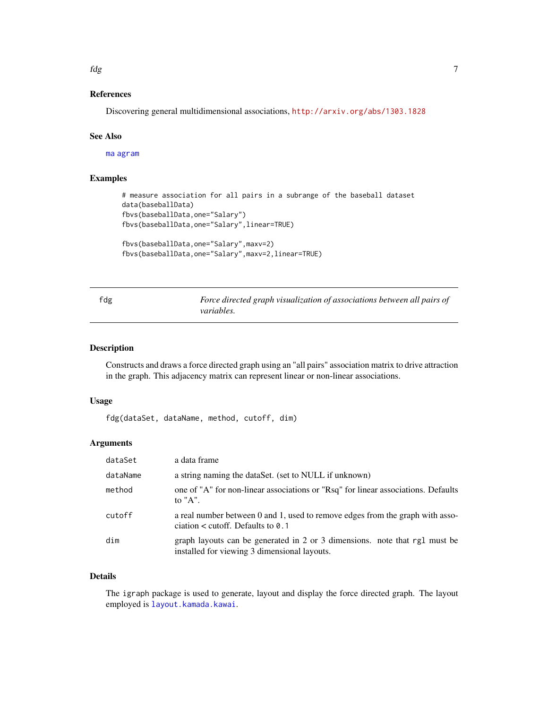<span id="page-6-0"></span>fdg *7* 

# References

Discovering general multidimensional associations, <http://arxiv.org/abs/1303.1828>

#### See Also

[ma](#page-7-1) [agram](#page-2-1)

# Examples

```
# measure association for all pairs in a subrange of the baseball dataset
data(baseballData)
fbvs(baseballData,one="Salary")
fbvs(baseballData,one="Salary",linear=TRUE)
```

```
fbvs(baseballData,one="Salary",maxv=2)
fbvs(baseballData,one="Salary",maxv=2,linear=TRUE)
```
fdg *Force directed graph visualization of associations between all pairs of variables.*

#### Description

Constructs and draws a force directed graph using an "all pairs" association matrix to drive attraction in the graph. This adjacency matrix can represent linear or non-linear associations.

#### Usage

```
fdg(dataSet, dataName, method, cutoff, dim)
```
# Arguments

| dataSet  | a data frame                                                                                                               |
|----------|----------------------------------------------------------------------------------------------------------------------------|
| dataName | a string naming the dataSet. (set to NULL if unknown)                                                                      |
| method   | one of "A" for non-linear associations or "Rsq" for linear associations. Defaults<br>to $"A"$ .                            |
| cutoff   | a real number between 0 and 1, used to remove edges from the graph with asso-<br>ciation $\lt$ cutoff. Defaults to 0.1     |
| dim      | graph layouts can be generated in 2 or 3 dimensions. note that rg1 must be<br>installed for viewing 3 dimensional layouts. |

# Details

The igraph package is used to generate, layout and display the force directed graph. The layout employed is [layout.kamada.kawai](#page-0-0).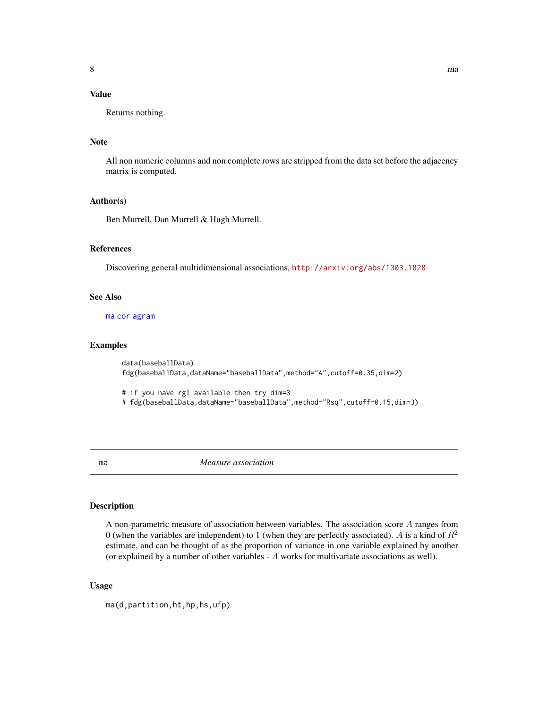# <span id="page-7-0"></span>Value

Returns nothing.

# Note

All non numeric columns and non complete rows are stripped from the data set before the adjacency matrix is computed.

# Author(s)

Ben Murrell, Dan Murrell & Hugh Murrell.

# References

Discovering general multidimensional associations, <http://arxiv.org/abs/1303.1828>

#### See Also

[ma](#page-7-1) [cor](#page-0-0) [agram](#page-2-1)

#### Examples

```
data(baseballData)
fdg(baseballData,dataName="baseballData",method="A",cutoff=0.35,dim=2)
# if you have rgl available then try dim=3
```

```
# fdg(baseballData,dataName="baseballData",method="Rsq",cutoff=0.15,dim=3)
```

```
ma Measure association
```
#### Description

A non-parametric measure of association between variables. The association score A ranges from 0 (when the variables are independent) to 1 (when they are perfectly associated). A is a kind of  $R^2$ estimate, and can be thought of as the proportion of variance in one variable explained by another (or explained by a number of other variables - A works for multivariate associations as well).

#### Usage

ma(d,partition,ht,hp,hs,ufp)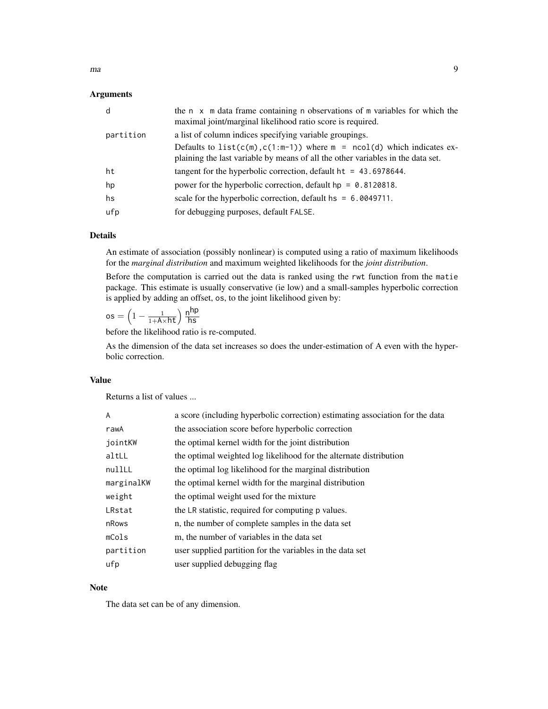ma 9

#### Arguments

| d         | the n x m data frame containing n observations of m variables for which the<br>maximal joint/marginal likelihood ratio score is required.                       |
|-----------|-----------------------------------------------------------------------------------------------------------------------------------------------------------------|
| partition | a list of column indices specifying variable groupings.                                                                                                         |
|           | Defaults to list( $c(m), c(1:m-1)$ ) where $m = ncol(d)$ which indicates ex-<br>plaining the last variable by means of all the other variables in the data set. |
| ht        | tangent for the hyperbolic correction, default $ht = 43.6978644$ .                                                                                              |
| hp        | power for the hyperbolic correction, default $hp = 0.8120818$ .                                                                                                 |
| hs        | scale for the hyperbolic correction, default $hs = 6.000000000000000000$                                                                                        |
| ufp       | for debugging purposes, default FALSE.                                                                                                                          |

# Details

An estimate of association (possibly nonlinear) is computed using a ratio of maximum likelihoods for the *marginal distribution* and maximum weighted likelihoods for the *joint distribution*.

Before the computation is carried out the data is ranked using the rwt function from the matie package. This estimate is usually conservative (ie low) and a small-samples hyperbolic correction is applied by adding an offset, os, to the joint likelihood given by:

 $\textsf{os} = \left(1 - \frac{1}{1+\mathsf{A} \times \mathsf{h} \mathsf{t}}\right) \frac{\mathsf{h}^\mathsf{hp}}{\mathsf{h} \mathsf{s}}$ hs

before the likelihood ratio is re-computed.

As the dimension of the data set increases so does the under-estimation of A even with the hyperbolic correction.

# Value

Returns a list of values ...

| A          | a score (including hyperbolic correction) estimating association for the data |
|------------|-------------------------------------------------------------------------------|
| rawA       | the association score before hyperbolic correction                            |
| jointKW    | the optimal kernel width for the joint distribution                           |
| altLL      | the optimal weighted log likelihood for the alternate distribution            |
| nullLL     | the optimal log likelihood for the marginal distribution                      |
| marginalKW | the optimal kernel width for the marginal distribution                        |
| weight     | the optimal weight used for the mixture                                       |
| LRstat     | the LR statistic, required for computing p values.                            |
| nRows      | n, the number of complete samples in the data set                             |
| mCols      | m, the number of variables in the data set                                    |
| partition  | user supplied partition for the variables in the data set                     |
| ufp        | user supplied debugging flag                                                  |

### Note

The data set can be of any dimension.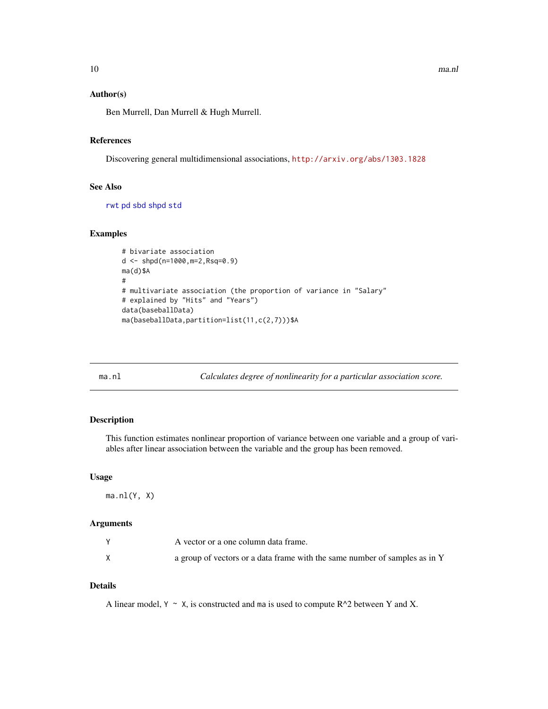# <span id="page-9-0"></span>Author(s)

Ben Murrell, Dan Murrell & Hugh Murrell.

# References

Discovering general multidimensional associations, <http://arxiv.org/abs/1303.1828>

# See Also

[rwt](#page-13-1) [pd](#page-12-1) [sbd](#page-13-2) [shpd](#page-14-1) [std](#page-17-1)

#### Examples

```
# bivariate association
d <- shpd(n=1000,m=2,Rsq=0.9)
ma(d)$A
#
# multivariate association (the proportion of variance in "Salary"
# explained by "Hits" and "Years")
data(baseballData)
ma(baseballData,partition=list(11,c(2,7)))$A
```
<span id="page-9-1"></span>ma.nl *Calculates degree of nonlinearity for a particular association score.*

#### Description

This function estimates nonlinear proportion of variance between one variable and a group of variables after linear association between the variable and the group has been removed.

#### Usage

 $ma.nl(Y, X)$ 

# Arguments

| A vector or a one column data frame.                                       |
|----------------------------------------------------------------------------|
| a group of vectors or a data frame with the same number of samples as in Y |

# Details

A linear model,  $Y \sim X$ , is constructed and ma is used to compute R^2 between Y and X.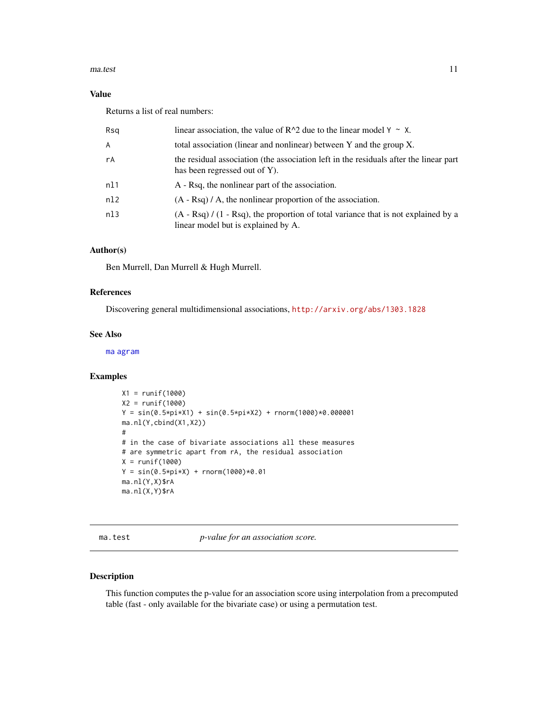#### <span id="page-10-0"></span>ma.test 11

# Value

Returns a list of real numbers:

| Rsq | linear association, the value of $R^2$ due to the linear model $Y \sim X$ .                                                  |
|-----|------------------------------------------------------------------------------------------------------------------------------|
| A   | total association (linear and nonlinear) between Y and the group X.                                                          |
| rA  | the residual association (the association left in the residuals after the linear part<br>has been regressed out of Y).       |
| n11 | A - Rsq, the nonlinear part of the association.                                                                              |
| n12 | $(A - \text{Rsq}) / A$ , the nonlinear proportion of the association.                                                        |
| nl3 | $(A - Rsq) / (1 - Rsq)$ , the proportion of total variance that is not explained by a<br>linear model but is explained by A. |

# Author(s)

Ben Murrell, Dan Murrell & Hugh Murrell.

# References

Discovering general multidimensional associations, <http://arxiv.org/abs/1303.1828>

## See Also

[ma](#page-7-1) [agram](#page-2-1)

#### Examples

```
X1 = runif(1000)
X2 = runif(1000)
Y = sin(0.5*pi*X1) + sin(0.5*pi*X2) + rnorm(1000)*0.000001ma.nl(Y,cbind(X1,X2))
#
# in the case of bivariate associations all these measures
# are symmetric apart from rA, the residual association
X = runif(1000)Y = sin(0.5*pi*x) + rnorm(1000)*0.01ma.nl(Y,X)$rA
ma.nl(X,Y)$rA
```
ma.test *p-value for an association score.*

## Description

This function computes the p-value for an association score using interpolation from a precomputed table (fast - only available for the bivariate case) or using a permutation test.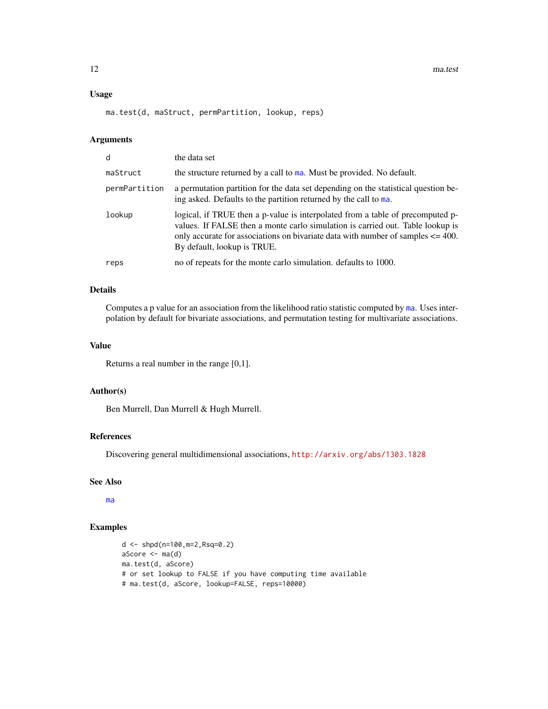12 ma.test

# Usage

ma.test(d, maStruct, permPartition, lookup, reps)

## Arguments

| d             | the data set                                                                                                                                                                                                                                                                           |
|---------------|----------------------------------------------------------------------------------------------------------------------------------------------------------------------------------------------------------------------------------------------------------------------------------------|
| maStruct      | the structure returned by a call to ma. Must be provided. No default.                                                                                                                                                                                                                  |
| permPartition | a permutation partition for the data set depending on the statistical question be-<br>ing asked. Defaults to the partition returned by the call to ma.                                                                                                                                 |
| lookup        | logical, if TRUE then a p-value is interpolated from a table of precomputed p-<br>values. If FALSE then a monte carlo simulation is carried out. Table lookup is<br>only accurate for associations on bivariate data with number of samples $\leq$ 400.<br>By default, lookup is TRUE. |
| reps          | no of repeats for the monte carlo simulation. defaults to 1000.                                                                                                                                                                                                                        |

# Details

Computes a p value for an association from the likelihood ratio statistic computed by [ma](#page-7-1). Uses interpolation by default for bivariate associations, and permutation testing for multivariate associations.

#### Value

Returns a real number in the range [0,1].

# Author(s)

Ben Murrell, Dan Murrell & Hugh Murrell.

# References

Discovering general multidimensional associations, <http://arxiv.org/abs/1303.1828>

#### See Also

[ma](#page-7-1)

# Examples

```
d <- shpd(n=100,m=2,Rsq=0.2)
aScore \leq ma(d)
ma.test(d, aScore)
# or set lookup to FALSE if you have computing time available
# ma.test(d, aScore, lookup=FALSE, reps=10000)
```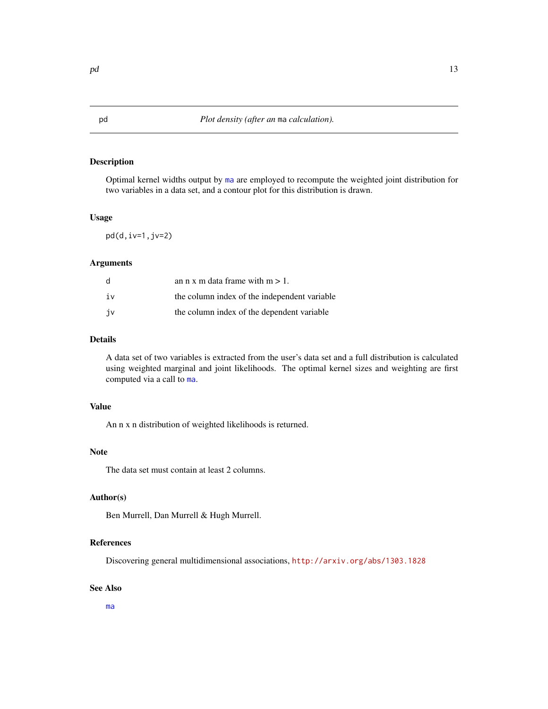# <span id="page-12-1"></span><span id="page-12-0"></span>Description

Optimal kernel widths output by [ma](#page-7-1) are employed to recompute the weighted joint distribution for two variables in a data set, and a contour plot for this distribution is drawn.

## Usage

 $pd(d, iv=1, jv=2)$ 

# Arguments

| d  | an n x m data frame with $m > 1$ .           |
|----|----------------------------------------------|
| iv | the column index of the independent variable |
| jv | the column index of the dependent variable   |

# Details

A data set of two variables is extracted from the user's data set and a full distribution is calculated using weighted marginal and joint likelihoods. The optimal kernel sizes and weighting are first computed via a call to [ma](#page-7-1).

#### Value

An n x n distribution of weighted likelihoods is returned.

#### **Note**

The data set must contain at least 2 columns.

# Author(s)

Ben Murrell, Dan Murrell & Hugh Murrell.

#### References

Discovering general multidimensional associations, <http://arxiv.org/abs/1303.1828>

#### See Also

[ma](#page-7-1)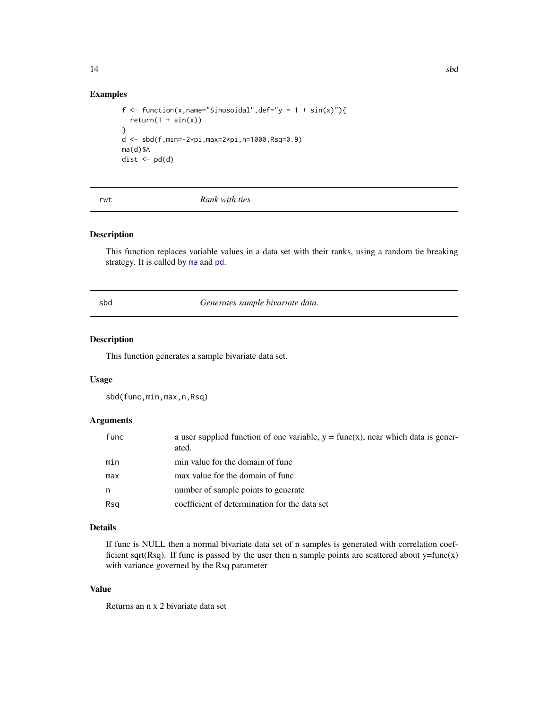# Examples

```
f <- function(x,name="Sinusoidal",def="y = 1 + sin(x)"){
  return(1 + sin(x))}
d <- sbd(f,min=-2*pi,max=2*pi,n=1000,Rsq=0.9)
ma(d)$A
dist \leftarrow pd(d)
```
<span id="page-13-1"></span>rwt *Rank with ties*

# Description

This function replaces variable values in a data set with their ranks, using a random tie breaking strategy. It is called by [ma](#page-7-1) and [pd](#page-12-1).

<span id="page-13-2"></span>sbd *Generates sample bivariate data.*

# Description

This function generates a sample bivariate data set.

#### Usage

sbd(func,min,max,n,Rsq)

#### Arguments

| func | a user supplied function of one variable, $y = func(x)$ , near which data is gener-<br>ated. |
|------|----------------------------------------------------------------------------------------------|
| min  | min value for the domain of func                                                             |
| max  | max value for the domain of func                                                             |
| n.   | number of sample points to generate                                                          |
| Rsa  | coefficient of determination for the data set                                                |

# Details

If func is NULL then a normal bivariate data set of n samples is generated with correlation coefficient sqrt(Rsq). If func is passed by the user then n sample points are scattered about  $y=func(x)$ with variance governed by the Rsq parameter

# Value

Returns an n x 2 bivariate data set

<span id="page-13-0"></span>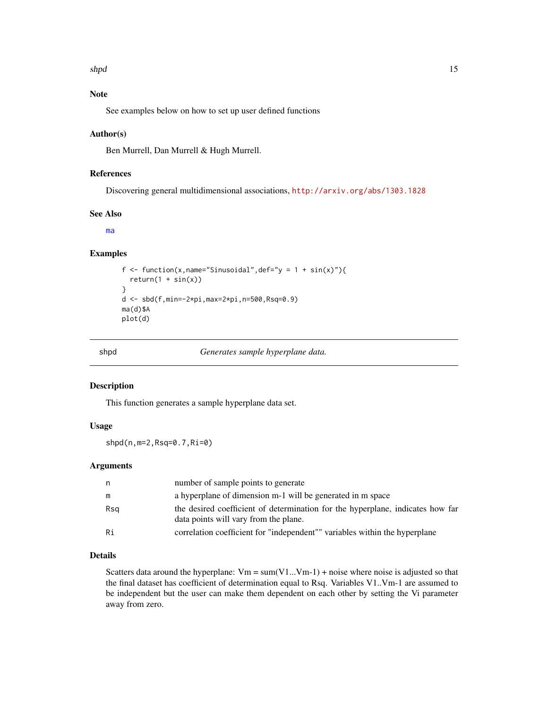#### <span id="page-14-0"></span>shpd the state of the state of the state of the state of the state of the state of the state of the state of the state of the state of the state of the state of the state of the state of the state of the state of the state

# Note

See examples below on how to set up user defined functions

#### Author(s)

Ben Murrell, Dan Murrell & Hugh Murrell.

# References

Discovering general multidimensional associations, <http://arxiv.org/abs/1303.1828>

# See Also

[ma](#page-7-1)

# Examples

```
f <- function(x,name="Sinusoidal",def="y = 1 + sin(x)"){
  return(1 + sin(x))}
d <- sbd(f,min=-2*pi,max=2*pi,n=500,Rsq=0.9)
ma(d)$A
plot(d)
```
<span id="page-14-1"></span>

shpd *Generates sample hyperplane data.*

#### Description

This function generates a sample hyperplane data set.

# Usage

shpd(n,m=2,Rsq=0.7,Ri=0)

## Arguments

| n   | number of sample points to generate                                                                                     |
|-----|-------------------------------------------------------------------------------------------------------------------------|
| m   | a hyperplane of dimension m-1 will be generated in m space                                                              |
| Rsa | the desired coefficient of determination for the hyperplane, indicates how far<br>data points will vary from the plane. |
| Ri  | correlation coefficient for "independent"" variables within the hyperplane                                              |

#### Details

Scatters data around the hyperplane:  $Vm = sum(V1...Vm-1) + noise$  where noise is adjusted so that the final dataset has coefficient of determination equal to Rsq. Variables V1..Vm-1 are assumed to be independent but the user can make them dependent on each other by setting the Vi parameter away from zero.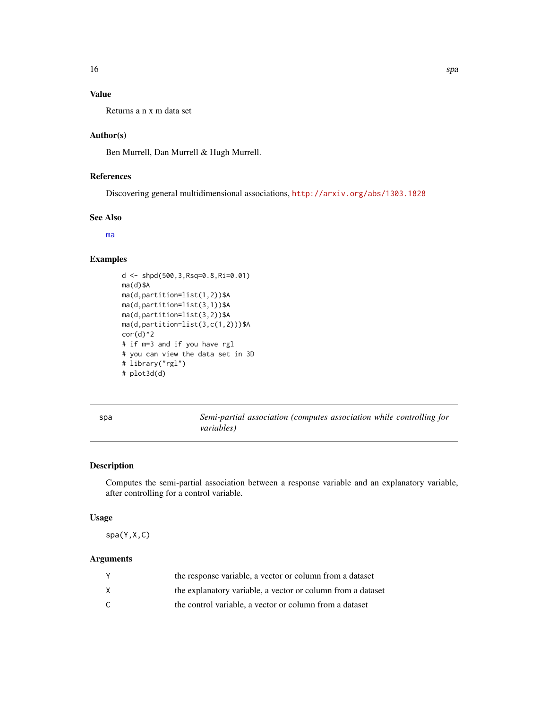# <span id="page-15-0"></span>Value

Returns a n x m data set

# Author(s)

Ben Murrell, Dan Murrell & Hugh Murrell.

# References

Discovering general multidimensional associations, <http://arxiv.org/abs/1303.1828>

# See Also

[ma](#page-7-1)

#### Examples

```
d <- shpd(500,3,Rsq=0.8,Ri=0.01)
ma(d)$A
ma(d,partition=list(1,2))$A
ma(d,partition=list(3,1))$A
ma(d,partition=list(3,2))$A
ma(d,partition=list(3,c(1,2)))$A
cor(d)^2# if m=3 and if you have rgl
# you can view the data set in 3D
# library("rgl")
# plot3d(d)
```
spa *Semi-partial association (computes association while controlling for variables)*

## Description

Computes the semi-partial association between a response variable and an explanatory variable, after controlling for a control variable.

# Usage

spa(Y,X,C)

# Arguments

| the response variable, a vector or column from a dataset    |
|-------------------------------------------------------------|
| the explanatory variable, a vector or column from a dataset |
| the control variable, a vector or column from a dataset     |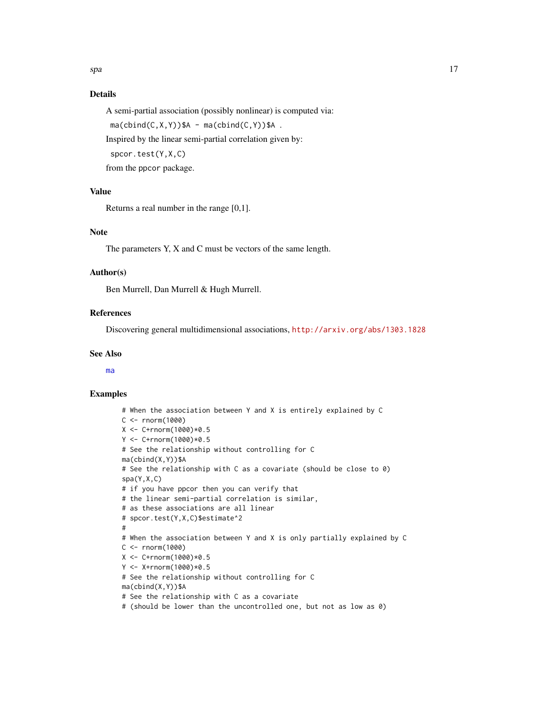# <span id="page-16-0"></span>Details

A semi-partial association (possibly nonlinear) is computed via:

 $ma(cbind(C, X, Y))$ \$A -  $ma(cbind(C, Y))$ \$A.

Inspired by the linear semi-partial correlation given by:

spcor.test(Y,X,C)

from the ppcor package.

# Value

Returns a real number in the range [0,1].

# Note

The parameters Y, X and C must be vectors of the same length.

# Author(s)

Ben Murrell, Dan Murrell & Hugh Murrell.

#### References

Discovering general multidimensional associations, <http://arxiv.org/abs/1303.1828>

#### See Also

[ma](#page-7-1)

#### Examples

```
# When the association between Y and X is entirely explained by C
C < - rnorm(1000)
X <- C+rnorm(1000)*0.5
Y <- C+rnorm(1000)*0.5
# See the relationship without controlling for C
ma(cbind(X,Y))$A
# See the relationship with C as a covariate (should be close to 0)
spa(Y,X,C)
# if you have ppcor then you can verify that
# the linear semi-partial correlation is similar,
# as these associations are all linear
# spcor.test(Y,X,C)$estimate^2
#
# When the association between Y and X is only partially explained by C
C <- rnorm(1000)X <- C+rnorm(1000)*0.5
Y <- X+rnorm(1000)*0.5
# See the relationship without controlling for C
ma(cbind(X,Y))$A
# See the relationship with C as a covariate
# (should be lower than the uncontrolled one, but not as low as 0)
```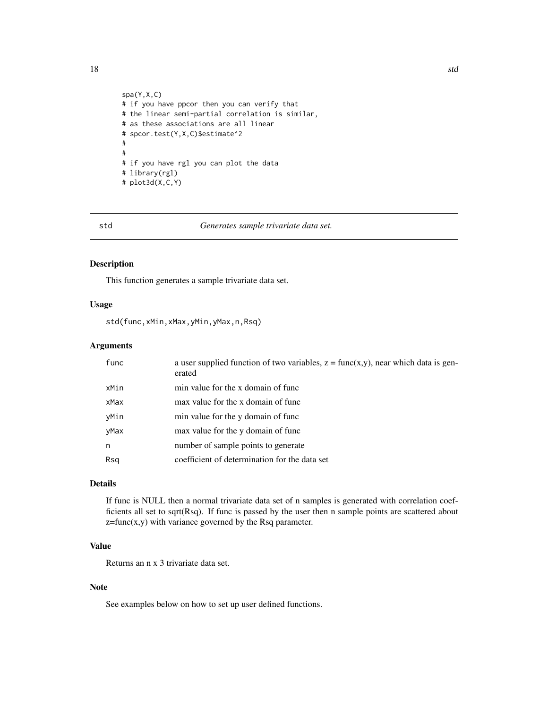```
spa(Y,X,C)
# if you have ppcor then you can verify that
# the linear semi-partial correlation is similar,
# as these associations are all linear
# spcor.test(Y,X,C)$estimate^2
#
#
# if you have rgl you can plot the data
# library(rgl)
# plot3d(X,C,Y)
```
<span id="page-17-1"></span>

std *Generates sample trivariate data set.*

#### Description

This function generates a sample trivariate data set.

#### Usage

std(func,xMin,xMax,yMin,yMax,n,Rsq)

# Arguments

| func | a user supplied function of two variables, $z = \text{func}(x,y)$ , near which data is gen-<br>erated |
|------|-------------------------------------------------------------------------------------------------------|
| xMin | min value for the x domain of func                                                                    |
| xMax | max value for the x domain of func                                                                    |
| yMin | min value for the y domain of func                                                                    |
| yMax | max value for the y domain of func                                                                    |
| n    | number of sample points to generate                                                                   |
| Rsq  | coefficient of determination for the data set                                                         |
|      |                                                                                                       |

# Details

If func is NULL then a normal trivariate data set of n samples is generated with correlation coefficients all set to sqrt(Rsq). If func is passed by the user then n sample points are scattered about  $z = func(x, y)$  with variance governed by the Rsq parameter.

# Value

Returns an n x 3 trivariate data set.

# Note

See examples below on how to set up user defined functions.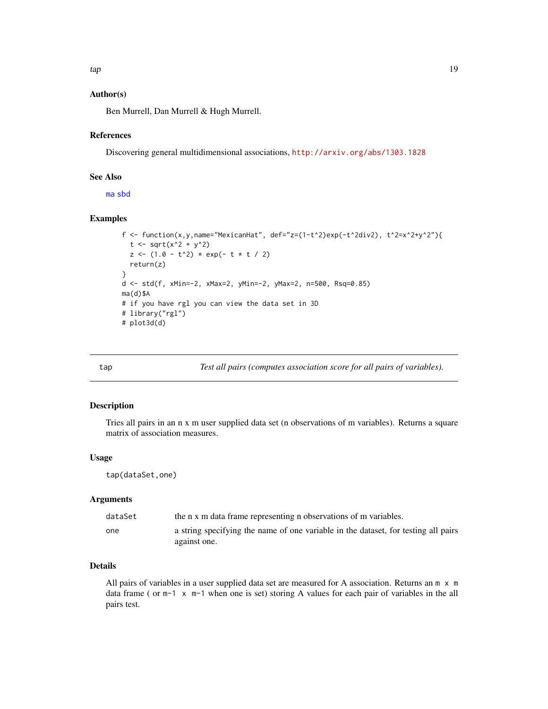<span id="page-18-0"></span>tap the contract of the contract of the contract of the contract of the contract of the contract of the contract of the contract of the contract of the contract of the contract of the contract of the contract of the contra

### Author(s)

Ben Murrell, Dan Murrell & Hugh Murrell.

#### References

Discovering general multidimensional associations, <http://arxiv.org/abs/1303.1828>

# See Also

[ma](#page-7-1) [sbd](#page-13-2)

# Examples

```
f <- function(x,y,name="MexicanHat", def="z=(1-t^2)exp(-t^2div2), t^2=x^2+y^2"){
  t < -sqrt{sqrt(x^2 + y^2)}z \le -(1.0 - t^2) * exp(- t * t / 2)return(z)
}
d <- std(f, xMin=-2, xMax=2, yMin=-2, yMax=2, n=500, Rsq=0.85)
ma(d)$A
# if you have rgl you can view the data set in 3D
# library("rgl")
# plot3d(d)
```
<span id="page-18-1"></span>

tap *Test all pairs (computes association score for all pairs of variables).*

# Description

Tries all pairs in an n x m user supplied data set (n observations of m variables). Returns a square matrix of association measures.

#### Usage

tap(dataSet,one)

## Arguments

| dataSet | the n x m data frame representing n observations of m variables.                                   |
|---------|----------------------------------------------------------------------------------------------------|
| one     | a string specifying the name of one variable in the dataset, for testing all pairs<br>against one. |

# Details

All pairs of variables in a user supplied data set are measured for A association. Returns an m x m data frame ( or  $m-1 \times m-1$  when one is set) storing A values for each pair of variables in the all pairs test.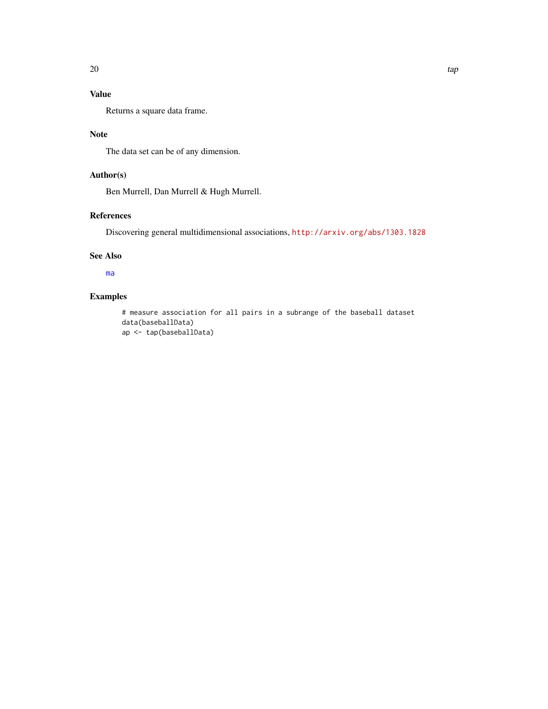# <span id="page-19-0"></span>Value

Returns a square data frame.

# Note

The data set can be of any dimension.

# Author(s)

Ben Murrell, Dan Murrell & Hugh Murrell.

# References

Discovering general multidimensional associations, <http://arxiv.org/abs/1303.1828>

# See Also

[ma](#page-7-1)

# Examples

# measure association for all pairs in a subrange of the baseball dataset data(baseballData) ap <- tap(baseballData)